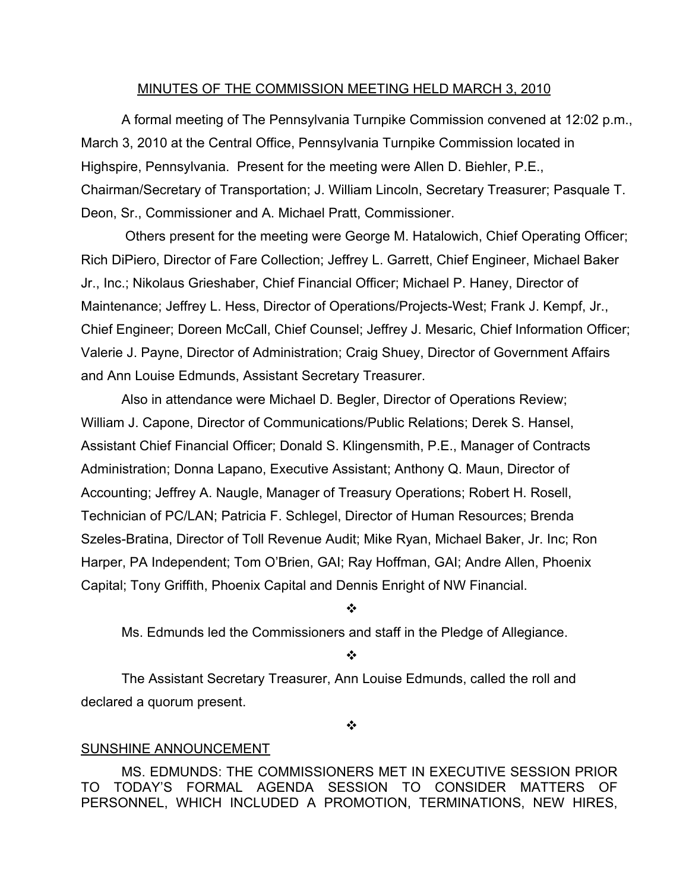## MINUTES OF THE COMMISSION MEETING HELD MARCH 3, 2010

A formal meeting of The Pennsylvania Turnpike Commission convened at 12:02 p.m., March 3, 2010 at the Central Office, Pennsylvania Turnpike Commission located in Highspire, Pennsylvania. Present for the meeting were Allen D. Biehler, P.E., Chairman/Secretary of Transportation; J. William Lincoln, Secretary Treasurer; Pasquale T. Deon, Sr., Commissioner and A. Michael Pratt, Commissioner.

Others present for the meeting were George M. Hatalowich, Chief Operating Officer; Rich DiPiero, Director of Fare Collection; Jeffrey L. Garrett, Chief Engineer, Michael Baker Jr., Inc.; Nikolaus Grieshaber, Chief Financial Officer; Michael P. Haney, Director of Maintenance; Jeffrey L. Hess, Director of Operations/Projects-West; Frank J. Kempf, Jr., Chief Engineer; Doreen McCall, Chief Counsel; Jeffrey J. Mesaric, Chief Information Officer; Valerie J. Payne, Director of Administration; Craig Shuey, Director of Government Affairs and Ann Louise Edmunds, Assistant Secretary Treasurer.

Also in attendance were Michael D. Begler, Director of Operations Review; William J. Capone, Director of Communications/Public Relations; Derek S. Hansel, Assistant Chief Financial Officer; Donald S. Klingensmith, P.E., Manager of Contracts Administration; Donna Lapano, Executive Assistant; Anthony Q. Maun, Director of Accounting; Jeffrey A. Naugle, Manager of Treasury Operations; Robert H. Rosell, Technician of PC/LAN; Patricia F. Schlegel, Director of Human Resources; Brenda Szeles-Bratina, Director of Toll Revenue Audit; Mike Ryan, Michael Baker, Jr. Inc; Ron Harper, PA Independent; Tom O'Brien, GAI; Ray Hoffman, GAI; Andre Allen, Phoenix Capital; Tony Griffith, Phoenix Capital and Dennis Enright of NW Financial.

❖

Ms. Edmunds led the Commissioners and staff in the Pledge of Allegiance.

❖

The Assistant Secretary Treasurer, Ann Louise Edmunds, called the roll and declared a quorum present.

 $\ddot{\cdot}$ 

#### SUNSHINE ANNOUNCEMENT

MS. EDMUNDS: THE COMMISSIONERS MET IN EXECUTIVE SESSION PRIOR TO TODAY'S FORMAL AGENDA SESSION TO CONSIDER MATTERS OF PERSONNEL, WHICH INCLUDED A PROMOTION, TERMINATIONS, NEW HIRES,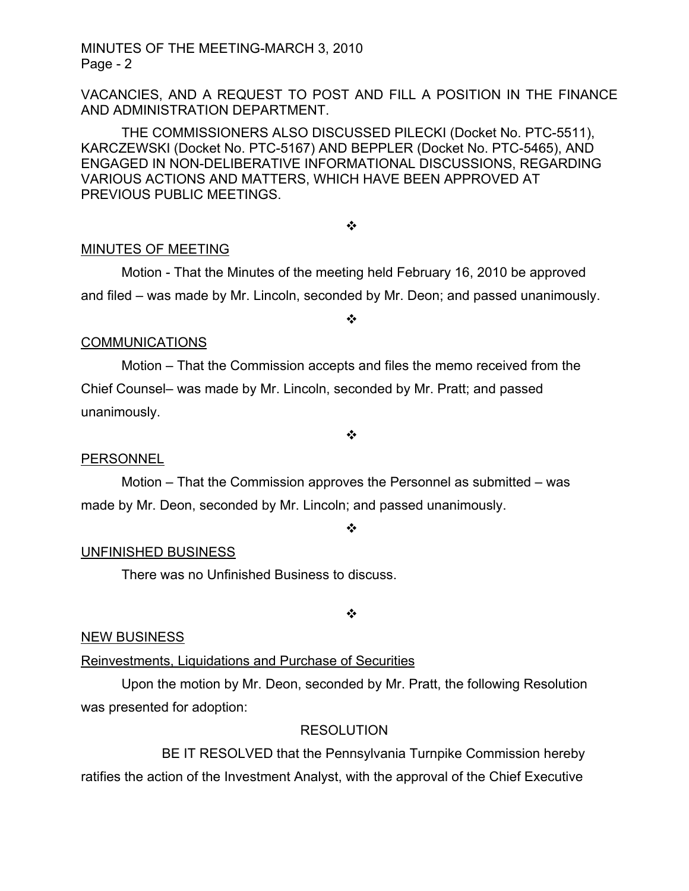VACANCIES, AND A REQUEST TO POST AND FILL A POSITION IN THE FINANCE AND ADMINISTRATION DEPARTMENT.

THE COMMISSIONERS ALSO DISCUSSED PILECKI (Docket No. PTC-5511), KARCZEWSKI (Docket No. PTC-5167) AND BEPPLER (Docket No. PTC-5465), AND ENGAGED IN NON-DELIBERATIVE INFORMATIONAL DISCUSSIONS, REGARDING VARIOUS ACTIONS AND MATTERS, WHICH HAVE BEEN APPROVED AT PREVIOUS PUBLIC MEETINGS.

## ❖

# MINUTES OF MEETING

Motion - That the Minutes of the meeting held February 16, 2010 be approved and filed – was made by Mr. Lincoln, seconded by Mr. Deon; and passed unanimously.

#### ❖

#### **COMMUNICATIONS**

Motion – That the Commission accepts and files the memo received from the Chief Counsel– was made by Mr. Lincoln, seconded by Mr. Pratt; and passed unanimously.

#### ❖

# PERSONNEL

Motion – That the Commission approves the Personnel as submitted – was made by Mr. Deon, seconded by Mr. Lincoln; and passed unanimously.

❖

# UNFINISHED BUSINESS

There was no Unfinished Business to discuss.

❖

#### NEW BUSINESS

# Reinvestments, Liquidations and Purchase of Securities

Upon the motion by Mr. Deon, seconded by Mr. Pratt, the following Resolution was presented for adoption:

## **RESOLUTION**

BE IT RESOLVED that the Pennsylvania Turnpike Commission hereby ratifies the action of the Investment Analyst, with the approval of the Chief Executive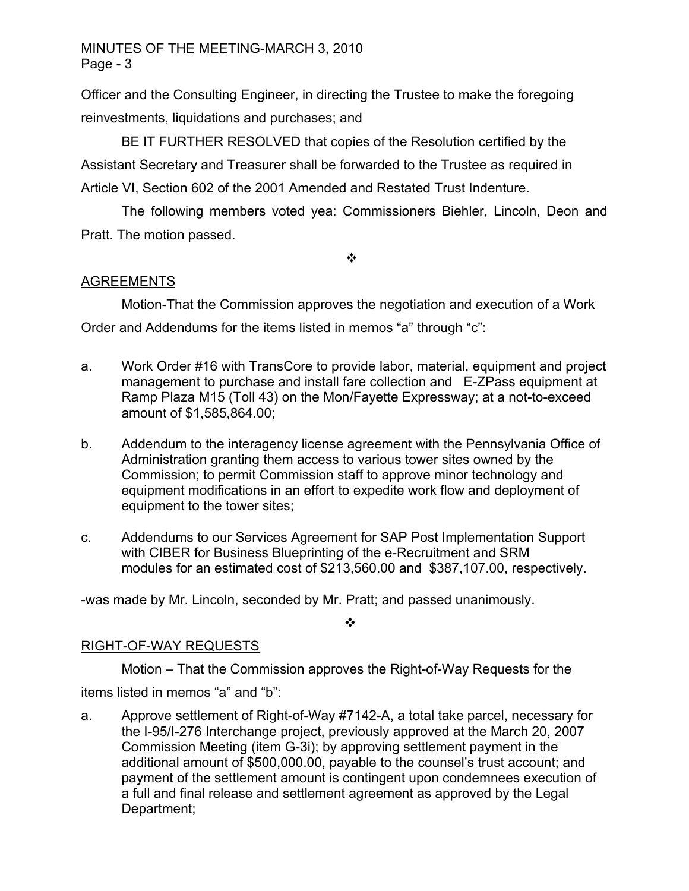Officer and the Consulting Engineer, in directing the Trustee to make the foregoing reinvestments, liquidations and purchases; and

BE IT FURTHER RESOLVED that copies of the Resolution certified by the Assistant Secretary and Treasurer shall be forwarded to the Trustee as required in Article VI, Section 602 of the 2001 Amended and Restated Trust Indenture.

The following members voted yea: Commissioners Biehler, Lincoln, Deon and Pratt. The motion passed.

 $\ddot{\cdot}$ 

# **AGREEMENTS**

Motion-That the Commission approves the negotiation and execution of a Work Order and Addendums for the items listed in memos "a" through "c":

- a. Work Order #16 with TransCore to provide labor, material, equipment and project management to purchase and install fare collection and E-ZPass equipment at Ramp Plaza M15 (Toll 43) on the Mon/Fayette Expressway; at a not-to-exceed amount of \$1,585,864.00;
- b. Addendum to the interagency license agreement with the Pennsylvania Office of Administration granting them access to various tower sites owned by the Commission; to permit Commission staff to approve minor technology and equipment modifications in an effort to expedite work flow and deployment of equipment to the tower sites;
- c. Addendums to our Services Agreement for SAP Post Implementation Support with CIBER for Business Blueprinting of the e-Recruitment and SRM modules for an estimated cost of \$213,560.00 and \$387,107.00, respectively.

-was made by Mr. Lincoln, seconded by Mr. Pratt; and passed unanimously.

❖

# RIGHT-OF-WAY REQUESTS

Motion – That the Commission approves the Right-of-Way Requests for the items listed in memos "a" and "b":

a. Approve settlement of Right-of-Way #7142-A, a total take parcel, necessary for the I-95/I-276 Interchange project, previously approved at the March 20, 2007 Commission Meeting (item G-3i); by approving settlement payment in the additional amount of \$500,000.00, payable to the counsel's trust account; and payment of the settlement amount is contingent upon condemnees execution of a full and final release and settlement agreement as approved by the Legal Department;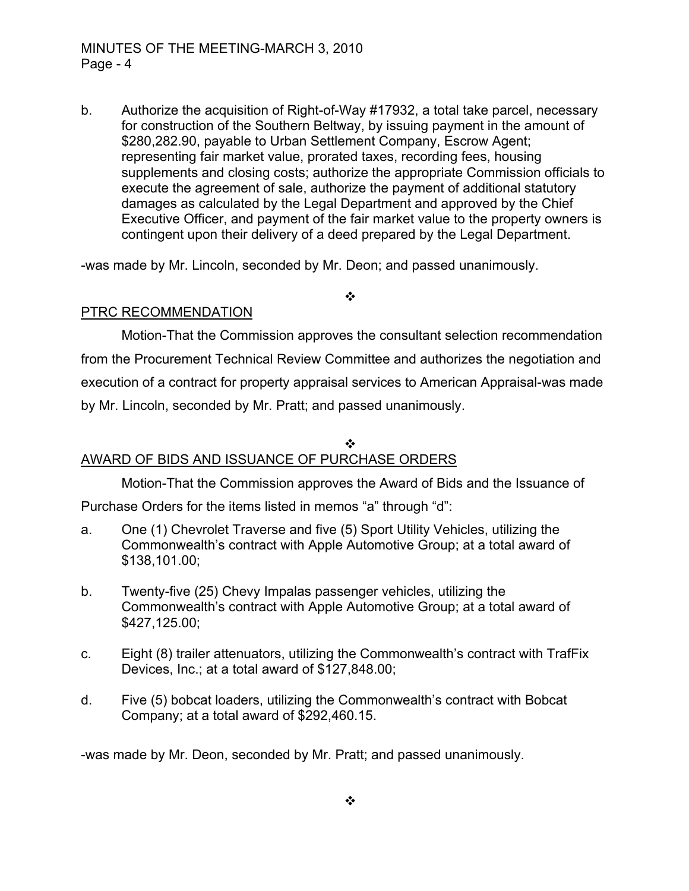b. Authorize the acquisition of Right-of-Way #17932, a total take parcel, necessary for construction of the Southern Beltway, by issuing payment in the amount of \$280,282.90, payable to Urban Settlement Company, Escrow Agent; representing fair market value, prorated taxes, recording fees, housing supplements and closing costs; authorize the appropriate Commission officials to execute the agreement of sale, authorize the payment of additional statutory damages as calculated by the Legal Department and approved by the Chief Executive Officer, and payment of the fair market value to the property owners is contingent upon their delivery of a deed prepared by the Legal Department.

-was made by Mr. Lincoln, seconded by Mr. Deon; and passed unanimously.

 $\cdot$ 

# PTRC RECOMMENDATION

Motion-That the Commission approves the consultant selection recommendation from the Procurement Technical Review Committee and authorizes the negotiation and execution of a contract for property appraisal services to American Appraisal-was made by Mr. Lincoln, seconded by Mr. Pratt; and passed unanimously.

# AWARD OF BIDS AND ISSUANCE OF PURCHASE ORDERS

Motion-That the Commission approves the Award of Bids and the Issuance of

❖

Purchase Orders for the items listed in memos "a" through "d":

- a. One (1) Chevrolet Traverse and five (5) Sport Utility Vehicles, utilizing the Commonwealth's contract with Apple Automotive Group; at a total award of \$138,101.00;
- b. Twenty-five (25) Chevy Impalas passenger vehicles, utilizing the Commonwealth's contract with Apple Automotive Group; at a total award of \$427,125.00;
- c. Eight (8) trailer attenuators, utilizing the Commonwealth's contract with TrafFix Devices, Inc.; at a total award of \$127,848.00;
- d. Five (5) bobcat loaders, utilizing the Commonwealth's contract with Bobcat Company; at a total award of \$292,460.15.

-was made by Mr. Deon, seconded by Mr. Pratt; and passed unanimously.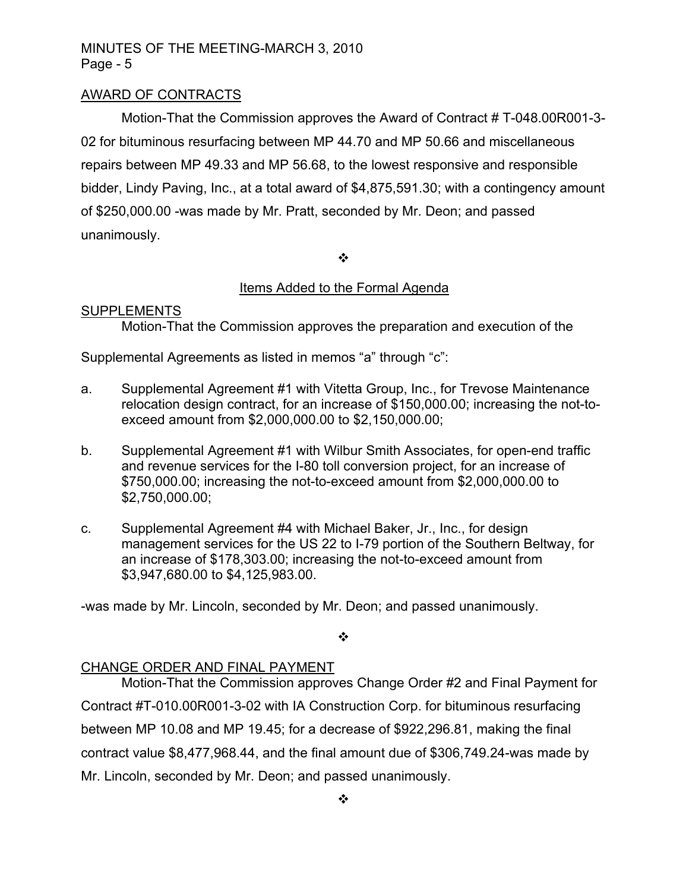# MINUTES OF THE MEETING-MARCH 3, 2010 Page - 5

# AWARD OF CONTRACTS

Motion-That the Commission approves the Award of Contract # T-048.00R001-3- 02 for bituminous resurfacing between MP 44.70 and MP 50.66 and miscellaneous repairs between MP 49.33 and MP 56.68, to the lowest responsive and responsible bidder, Lindy Paving, Inc., at a total award of \$4,875,591.30; with a contingency amount of \$250,000.00 -was made by Mr. Pratt, seconded by Mr. Deon; and passed unanimously.

 $\cdot$ 

## Items Added to the Formal Agenda

#### **SUPPLEMENTS**

Motion-That the Commission approves the preparation and execution of the

Supplemental Agreements as listed in memos "a" through "c":

- a. Supplemental Agreement #1 with Vitetta Group, Inc., for Trevose Maintenance relocation design contract, for an increase of \$150,000.00; increasing the not-toexceed amount from \$2,000,000.00 to \$2,150,000.00;
- b. Supplemental Agreement #1 with Wilbur Smith Associates, for open-end traffic and revenue services for the I-80 toll conversion project, for an increase of \$750,000.00; increasing the not-to-exceed amount from \$2,000,000.00 to \$2,750,000.00;
- c. Supplemental Agreement #4 with Michael Baker, Jr., Inc., for design management services for the US 22 to I-79 portion of the Southern Beltway, for an increase of \$178,303.00; increasing the not-to-exceed amount from \$3,947,680.00 to \$4,125,983.00.

-was made by Mr. Lincoln, seconded by Mr. Deon; and passed unanimously.

 $\bullet$ 

#### CHANGE ORDER AND FINAL PAYMENT

Motion-That the Commission approves Change Order #2 and Final Payment for Contract #T-010.00R001-3-02 with IA Construction Corp. for bituminous resurfacing between MP 10.08 and MP 19.45; for a decrease of \$922,296.81, making the final contract value \$8,477,968.44, and the final amount due of \$306,749.24-was made by Mr. Lincoln, seconded by Mr. Deon; and passed unanimously.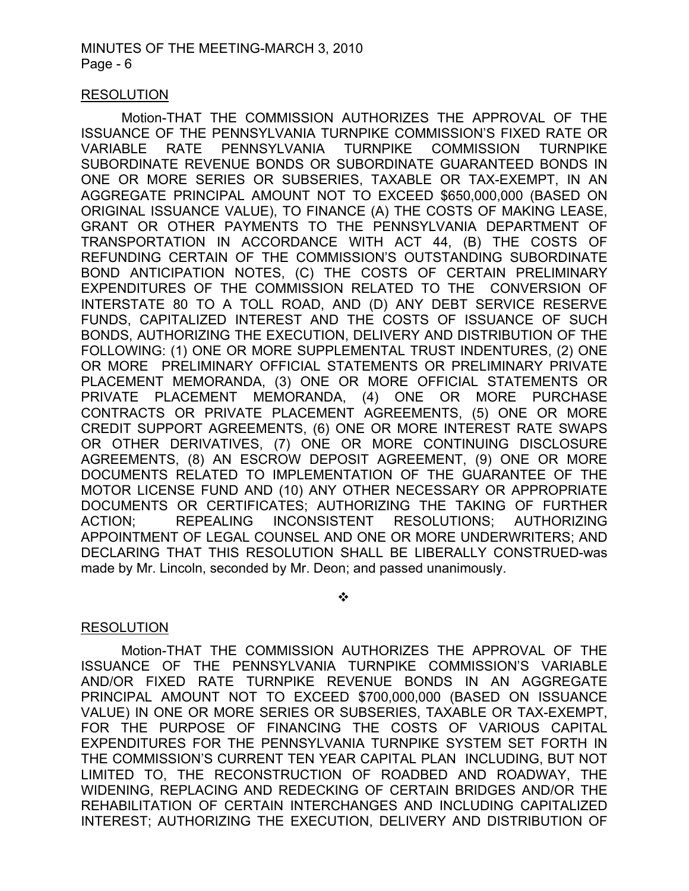## RESOLUTION

Motion-THAT THE COMMISSION AUTHORIZES THE APPROVAL OF THE ISSUANCE OF THE PENNSYLVANIA TURNPIKE COMMISSION'S FIXED RATE OR VARIABLE RATE PENNSYLVANIA TURNPIKE COMMISSION TURNPIKE SUBORDINATE REVENUE BONDS OR SUBORDINATE GUARANTEED BONDS IN ONE OR MORE SERIES OR SUBSERIES, TAXABLE OR TAX-EXEMPT, IN AN AGGREGATE PRINCIPAL AMOUNT NOT TO EXCEED \$650,000,000 (BASED ON ORIGINAL ISSUANCE VALUE), TO FINANCE (A) THE COSTS OF MAKING LEASE, GRANT OR OTHER PAYMENTS TO THE PENNSYLVANIA DEPARTMENT OF TRANSPORTATION IN ACCORDANCE WITH ACT 44, (B) THE COSTS OF REFUNDING CERTAIN OF THE COMMISSION'S OUTSTANDING SUBORDINATE BOND ANTICIPATION NOTES, (C) THE COSTS OF CERTAIN PRELIMINARY EXPENDITURES OF THE COMMISSION RELATED TO THE CONVERSION OF INTERSTATE 80 TO A TOLL ROAD, AND (D) ANY DEBT SERVICE RESERVE FUNDS, CAPITALIZED INTEREST AND THE COSTS OF ISSUANCE OF SUCH BONDS, AUTHORIZING THE EXECUTION, DELIVERY AND DISTRIBUTION OF THE FOLLOWING: (1) ONE OR MORE SUPPLEMENTAL TRUST INDENTURES, (2) ONE OR MORE PRELIMINARY OFFICIAL STATEMENTS OR PRELIMINARY PRIVATE PLACEMENT MEMORANDA, (3) ONE OR MORE OFFICIAL STATEMENTS OR PRIVATE PLACEMENT MEMORANDA, (4) ONE OR MORE PURCHASE CONTRACTS OR PRIVATE PLACEMENT AGREEMENTS, (5) ONE OR MORE CREDIT SUPPORT AGREEMENTS, (6) ONE OR MORE INTEREST RATE SWAPS OR OTHER DERIVATIVES, (7) ONE OR MORE CONTINUING DISCLOSURE AGREEMENTS, (8) AN ESCROW DEPOSIT AGREEMENT, (9) ONE OR MORE DOCUMENTS RELATED TO IMPLEMENTATION OF THE GUARANTEE OF THE MOTOR LICENSE FUND AND (10) ANY OTHER NECESSARY OR APPROPRIATE DOCUMENTS OR CERTIFICATES; AUTHORIZING THE TAKING OF FURTHER ACTION; REPEALING INCONSISTENT RESOLUTIONS; AUTHORIZING APPOINTMENT OF LEGAL COUNSEL AND ONE OR MORE UNDERWRITERS; AND DECLARING THAT THIS RESOLUTION SHALL BE LIBERALLY CONSTRUED-was made by Mr. Lincoln, seconded by Mr. Deon; and passed unanimously.

❖

# **RESOLUTION**

Motion-THAT THE COMMISSION AUTHORIZES THE APPROVAL OF THE ISSUANCE OF THE PENNSYLVANIA TURNPIKE COMMISSION'S VARIABLE AND/OR FIXED RATE TURNPIKE REVENUE BONDS IN AN AGGREGATE PRINCIPAL AMOUNT NOT TO EXCEED \$700,000,000 (BASED ON ISSUANCE VALUE) IN ONE OR MORE SERIES OR SUBSERIES, TAXABLE OR TAX-EXEMPT, FOR THE PURPOSE OF FINANCING THE COSTS OF VARIOUS CAPITAL EXPENDITURES FOR THE PENNSYLVANIA TURNPIKE SYSTEM SET FORTH IN THE COMMISSION'S CURRENT TEN YEAR CAPITAL PLAN INCLUDING, BUT NOT LIMITED TO, THE RECONSTRUCTION OF ROADBED AND ROADWAY, THE WIDENING, REPLACING AND REDECKING OF CERTAIN BRIDGES AND/OR THE REHABILITATION OF CERTAIN INTERCHANGES AND INCLUDING CAPITALIZED INTEREST; AUTHORIZING THE EXECUTION, DELIVERY AND DISTRIBUTION OF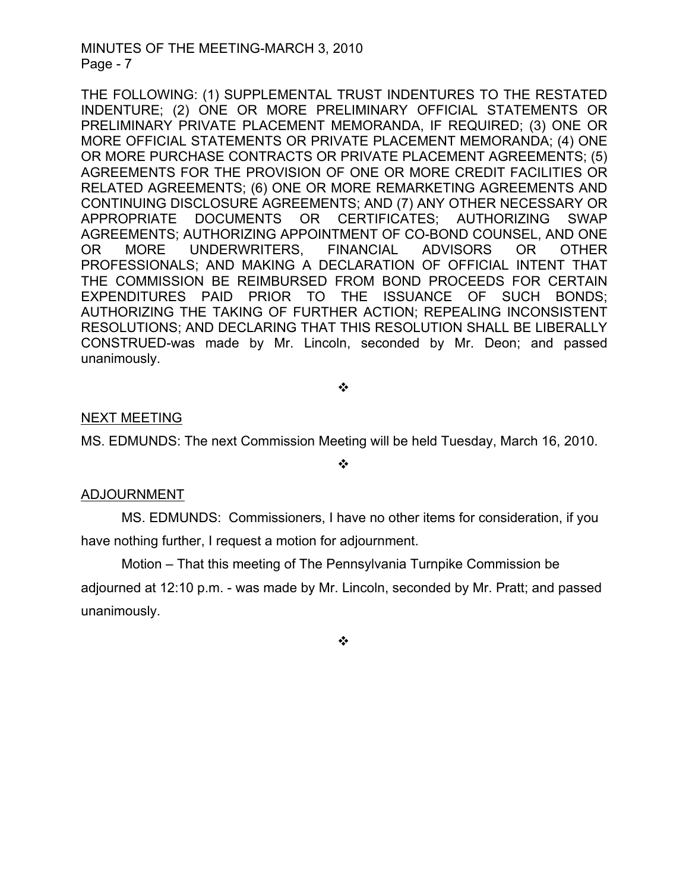## MINUTES OF THE MEETING-MARCH 3, 2010 Page - 7

THE FOLLOWING: (1) SUPPLEMENTAL TRUST INDENTURES TO THE RESTATED INDENTURE; (2) ONE OR MORE PRELIMINARY OFFICIAL STATEMENTS OR PRELIMINARY PRIVATE PLACEMENT MEMORANDA, IF REQUIRED; (3) ONE OR MORE OFFICIAL STATEMENTS OR PRIVATE PLACEMENT MEMORANDA; (4) ONE OR MORE PURCHASE CONTRACTS OR PRIVATE PLACEMENT AGREEMENTS; (5) AGREEMENTS FOR THE PROVISION OF ONE OR MORE CREDIT FACILITIES OR RELATED AGREEMENTS; (6) ONE OR MORE REMARKETING AGREEMENTS AND CONTINUING DISCLOSURE AGREEMENTS; AND (7) ANY OTHER NECESSARY OR APPROPRIATE DOCUMENTS OR CERTIFICATES; AUTHORIZING SWAP AGREEMENTS; AUTHORIZING APPOINTMENT OF CO-BOND COUNSEL, AND ONE OR MORE UNDERWRITERS, FINANCIAL ADVISORS OR OTHER PROFESSIONALS; AND MAKING A DECLARATION OF OFFICIAL INTENT THAT THE COMMISSION BE REIMBURSED FROM BOND PROCEEDS FOR CERTAIN EXPENDITURES PAID PRIOR TO THE ISSUANCE OF SUCH BONDS; AUTHORIZING THE TAKING OF FURTHER ACTION; REPEALING INCONSISTENT RESOLUTIONS; AND DECLARING THAT THIS RESOLUTION SHALL BE LIBERALLY CONSTRUED-was made by Mr. Lincoln, seconded by Mr. Deon; and passed unanimously.

❖

# NEXT MEETING

MS. EDMUNDS: The next Commission Meeting will be held Tuesday, March 16, 2010.

 $\cdot$ 

#### ADJOURNMENT

MS. EDMUNDS: Commissioners, I have no other items for consideration, if you have nothing further, I request a motion for adjournment.

Motion – That this meeting of The Pennsylvania Turnpike Commission be

adjourned at 12:10 p.m. - was made by Mr. Lincoln, seconded by Mr. Pratt; and passed unanimously.

❖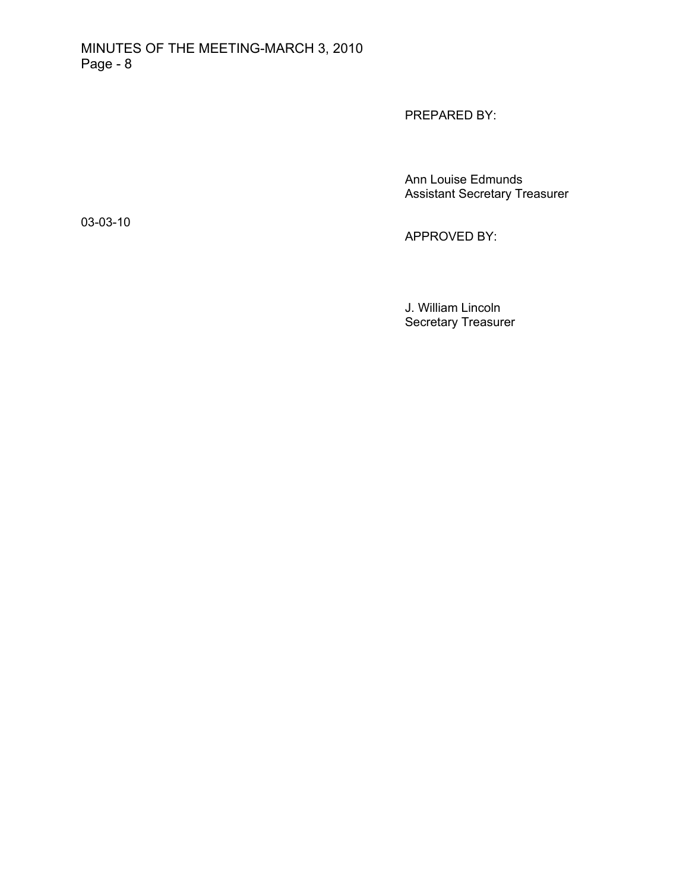PREPARED BY:

Ann Louise Edmunds Assistant Secretary Treasurer

03-03-10

APPROVED BY:

J. William Lincoln Secretary Treasurer